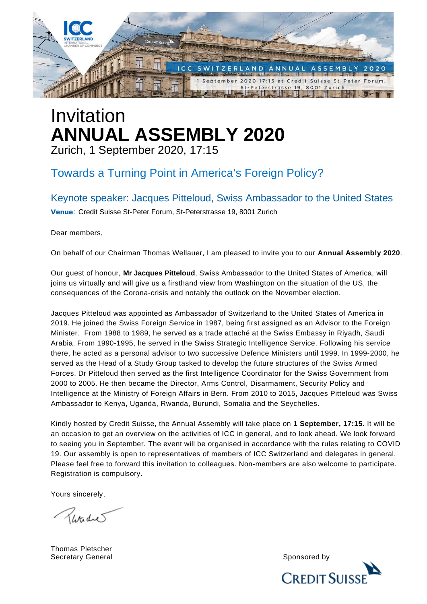

# Invitation **ANNUAL ASSEMBLY 2020** Zurich, 1 September 2020, 17:15

## Towards a Turning Point in America's Foreign Policy?

Keynote speaker: Jacques Pitteloud, Swiss Ambassador to the United States Venue: Credit Suisse St-Peter Forum, St-Peterstrasse 19, 8001 Zurich

Dear members,

On behalf of our Chairman Thomas Wellauer, I am pleased to invite you to our **Annual Assembly 2020**.

Our guest of honour, **Mr Jacques Pitteloud**, Swiss Ambassador to the United States of America, will joins us virtually and will give us a firsthand view from Washington on the situation of the US, the consequences of the Corona-crisis and notably the outlook on the November election.

Jacques Pitteloud was appointed as Ambassador of Switzerland to the United States of America in 2019. He joined the Swiss Foreign Service in 1987, being first assigned as an Advisor to the Foreign Minister. From 1988 to 1989, he served as a trade attaché at the Swiss Embassy in Riyadh, Saudi Arabia. From 1990-1995, he served in the Swiss Strategic Intelligence Service. Following his service there, he acted as a personal advisor to two successive Defence Ministers until 1999. In 1999-2000, he served as the Head of a Study Group tasked to develop the future structures of the Swiss Armed Forces. Dr Pitteloud then served as the first Intelligence Coordinator for the Swiss Government from 2000 to 2005. He then became the Director, Arms Control, Disarmament, Security Policy and Intelligence at the Ministry of Foreign Affairs in Bern. From 2010 to 2015, Jacques Pitteloud was Swiss Ambassador to Kenya, Uganda, Rwanda, Burundi, Somalia and the Seychelles.

Kindly hosted by Credit Suisse, the Annual Assembly will take place on **1 September, 17:15.** It will be an occasion to get an overview on the activities of ICC in general, and to look ahead. We look forward to seeing you in September. The event will be organised in accordance with the rules relating to COVID 19. Our assembly is open to representatives of members of ICC Switzerland and delegates in general. Please feel free to forward this invitation to colleagues. Non-members are also welcome to participate. Registration is compulsory.

Yours sincerely,

Retailer

Thomas Pletscher Secretary General Sponsored by Sponsored by Sponsored by Sponsored by Sponsored by Sponsored by Sponsored by Sponsored by Sponsored by Sponsored by Sponsored by Sponsored by Sponsored by Sponsored by Sponsored by Sponsored

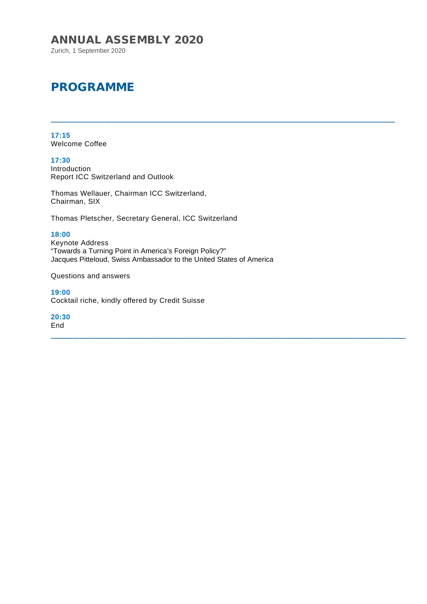#### ANNUAL ASSEMBLY 2020

Zurich, 1 September 2020

## PROGRAMME

**17:15** Welcome Coffee

**17:30** Introduction Report ICC Switzerland and Outlook

Thomas Wellauer, Chairman ICC Switzerland, Chairman, SIX

Thomas Pletscher, Secretary General, ICC Switzerland

**18:00**

Keynote Address "Towards a Turning Point in America's Foreign Policy?" Jacques Pitteloud, Swiss Ambassador to the United States of America

\_\_\_\_\_\_\_\_\_\_\_\_\_\_\_\_\_\_\_\_\_\_\_\_\_\_\_\_\_\_\_\_\_\_\_\_\_\_\_\_\_\_\_\_\_\_\_\_\_\_\_\_\_\_\_\_\_\_\_\_\_\_\_\_\_\_\_\_\_\_\_\_\_\_\_\_\_\_\_\_\_\_\_\_\_\_\_\_\_\_\_\_\_\_\_\_

\_\_\_\_\_\_\_\_\_\_\_\_\_\_\_\_\_\_\_\_\_\_\_\_\_\_\_\_\_\_\_\_\_\_\_\_\_\_\_\_\_\_\_\_\_\_\_\_\_\_\_\_\_\_\_\_\_\_\_\_\_\_\_\_\_\_\_\_\_\_\_\_\_\_\_\_\_\_\_\_\_\_\_\_\_\_\_\_\_\_\_\_\_\_\_\_\_\_\_

Questions and answers

**19:00** Cocktail riche, kindly offered by Credit Suisse

**20:30** End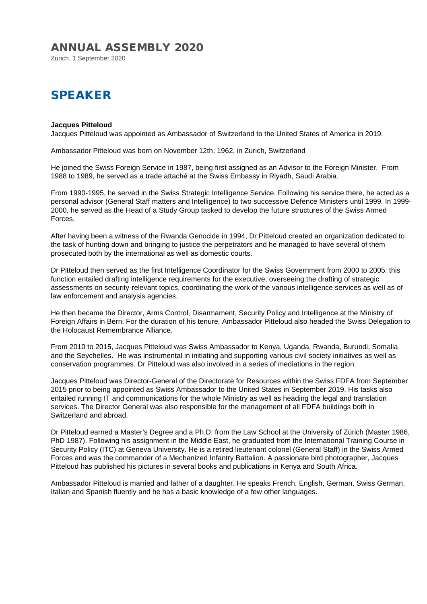#### ANNUAL ASSEMBLY 2020

Zurich, 1 September 2020

## SPEAKER

#### **Jacques Pitteloud**

Jacques Pitteloud was appointed as Ambassador of Switzerland to the United States of America in 2019.

Ambassador Pitteloud was born on November 12th, 1962, in Zurich, Switzerland

He joined the Swiss Foreign Service in 1987, being first assigned as an Advisor to the Foreign Minister. From 1988 to 1989, he served as a trade attaché at the Swiss Embassy in Riyadh, Saudi Arabia.

From 1990-1995, he served in the Swiss Strategic Intelligence Service. Following his service there, he acted as a personal advisor (General Staff matters and Intelligence) to two successive Defence Ministers until 1999. In 1999- 2000, he served as the Head of a Study Group tasked to develop the future structures of the Swiss Armed Forces.

After having been a witness of the Rwanda Genocide in 1994, Dr Pitteloud created an organization dedicated to the task of hunting down and bringing to justice the perpetrators and he managed to have several of them prosecuted both by the international as well as domestic courts.

Dr Pitteloud then served as the first Intelligence Coordinator for the Swiss Government from 2000 to 2005: this function entailed drafting intelligence requirements for the executive, overseeing the drafting of strategic assessments on security-relevant topics, coordinating the work of the various intelligence services as well as of law enforcement and analysis agencies.

He then became the Director, Arms Control, Disarmament, Security Policy and Intelligence at the Ministry of Foreign Affairs in Bern. For the duration of his tenure, Ambassador Pitteloud also headed the Swiss Delegation to the Holocaust Remembrance Alliance.

From 2010 to 2015, Jacques Pitteloud was Swiss Ambassador to Kenya, Uganda, Rwanda, Burundi, Somalia and the Seychelles. He was instrumental in initiating and supporting various civil society initiatives as well as conservation programmes. Dr Pitteloud was also involved in a series of mediations in the region.

Jacques Pitteloud was Director-General of the Directorate for Resources within the Swiss FDFA from September 2015 prior to being appointed as Swiss Ambassador to the United States in September 2019. His tasks also entailed running IT and communications for the whole Ministry as well as heading the legal and translation services. The Director General was also responsible for the management of all FDFA buildings both in Switzerland and abroad.

Dr Pitteloud earned a Master's Degree and a Ph.D. from the Law School at the University of Zürich (Master 1986, PhD 1987). Following his assignment in the Middle East, he graduated from the International Training Course in Security Policy (ITC) at Geneva University. He is a retired lieutenant colonel (General Staff) in the Swiss Armed Forces and was the commander of a Mechanized Infantry Battalion. A passionate bird photographer, Jacques Pitteloud has published his pictures in several books and publications in Kenya and South Africa.

Ambassador Pitteloud is married and father of a daughter. He speaks French, English, German, Swiss German, Italian and Spanish fluently and he has a basic knowledge of a few other languages.